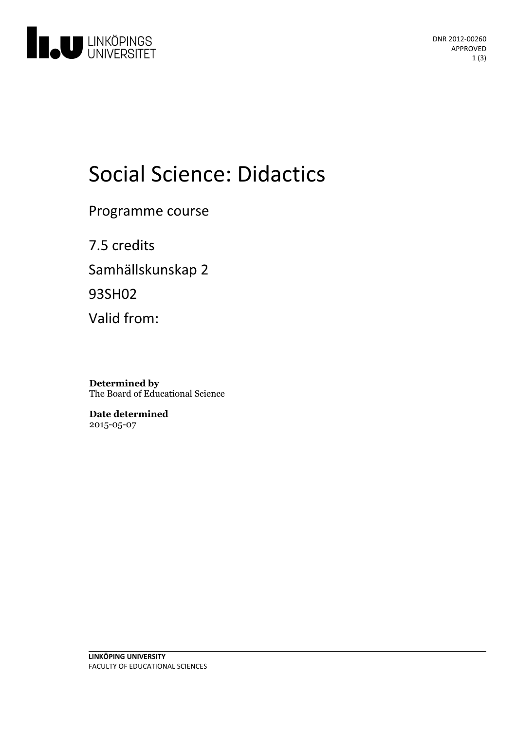

DNR 2012-00260 APPROVED 1 (3)

# Social Science: Didactics

Programme course

7.5 credits Samhällskunskap 2 93SH02 Valid from:

**Determined by** The Board of Educational Science

**Date determined** 2015-05-07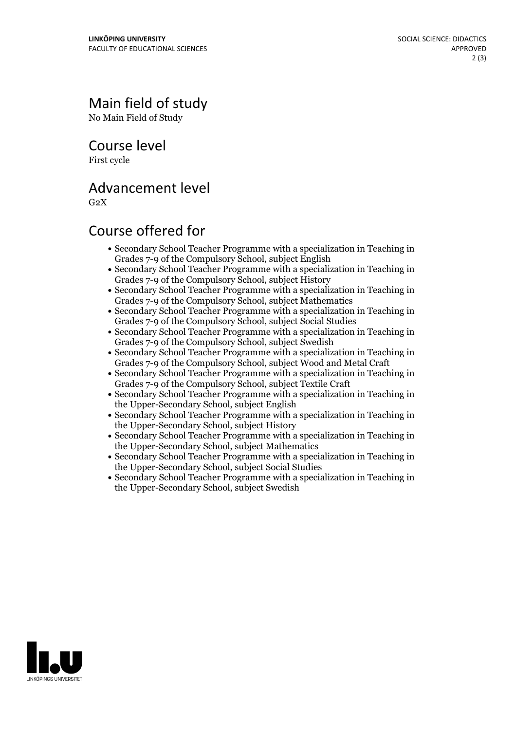## Main field of study

No Main Field of Study

Course level

First cycle

#### Advancement level

 $G<sub>2</sub>X$ 

### Course offered for

- Secondary School Teacher Programme with a specialization in Teaching in Grades 7-9 of the Compulsory School, subject English
- Secondary School Teacher Programme with a specialization in Teaching in Grades 7-9 of the Compulsory School, subject History
- Secondary School Teacher Programme with a specialization in Teaching in Grades 7-9 of the Compulsory School, subject Mathematics
- Secondary School Teacher Programme with a specialization in Teaching in Grades 7-9 of the Compulsory School, subject Social Studies
- Secondary School Teacher Programme with a specialization in Teaching in Grades 7-9 of the Compulsory School, subject Swedish
- Secondary School Teacher Programme with a specialization in Teaching in Grades 7-9 of the Compulsory School, subject Wood and Metal Craft
- Secondary School Teacher Programme with a specialization in Teaching in Grades 7-9 of the Compulsory School, subject Textile Craft
- Secondary School Teacher Programme with a specialization in Teaching in the Upper-Secondary School, subject English
- Secondary School Teacher Programme with a specialization in Teaching in the Upper-Secondary School, subject History
- Secondary School Teacher Programme with a specialization in Teaching in the Upper-Secondary School, subject Mathematics
- Secondary School Teacher Programme with a specialization in Teaching in the Upper-Secondary School, subject Social Studies
- Secondary School Teacher Programme with a specialization in Teaching in the Upper-Secondary School, subject Swedish